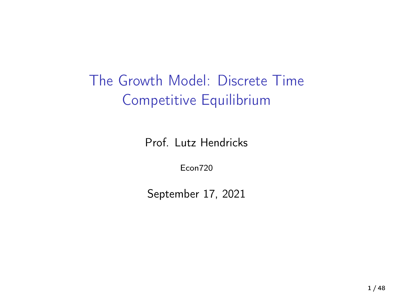The Growth Model: Discrete Time Competitive Equilibrium

Prof. Lutz Hendricks

Econ720

September 17, 2021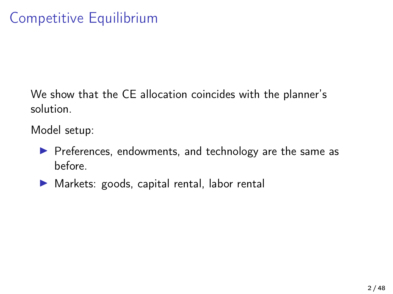We show that the CE allocation coincides with the planner's solution.

Model setup:

- $\blacktriangleright$  Preferences, endowments, and technology are the same as before.
- $\blacktriangleright$  Markets: goods, capital rental, labor rental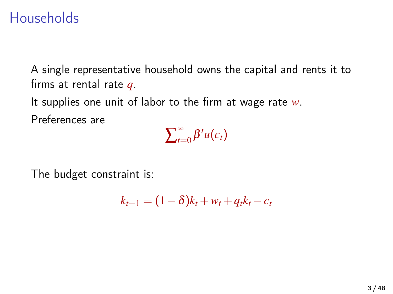## Households

A single representative household owns the capital and rents it to firms at rental rate *q*.

It supplies one unit of labor to the firm at wage rate *w*. Preferences are

 $\sum_{t=1}^{\infty}$  $\sum_{t=0}^{\infty} \beta^t u(c_t)$ 

The budget constraint is:

 $k_{t+1} = (1 - \delta)k_t + w_t + q_t k_t - c_t$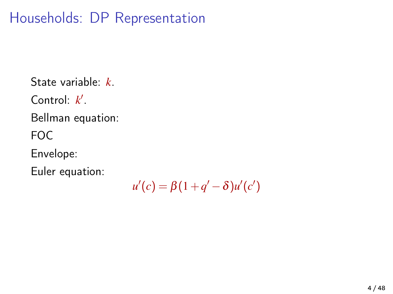# Households: DP Representation

State variable: *k*. Control:  $k'$ . Bellman equation: FOC Envelope: Euler equation:

 $u'(c) = \beta(1 + q' - \delta)u'(c')$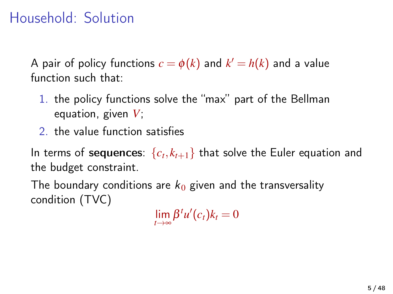# Household: Solution

A pair of policy functions  $c = \phi(k)$  and  $k' = h(k)$  and a value function such that:

- 1. the policy functions solve the "max" part of the Bellman equation, given *V*;
- 2. the value function satisfies

In terms of  $\mathsf{sequences}\colon \{c_t, k_{t+1}\}$  that solve the Euler equation and the budget constraint.

The boundary conditions are  $k_0$  given and the transversality condition (TVC)

 $\lim_{t\to\infty}\beta^t u'(c_t)k_t=0$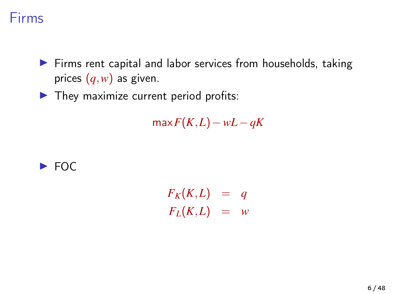#### Firms

- $\triangleright$  Firms rent capital and labor services from households, taking prices (*q*,*w*) as given.
- $\blacktriangleright$  They maximize current period profits:

 $max F(K,L) - wL - qK$ 



 $F_K(K,L) = q$  $F_L(K,L) = w$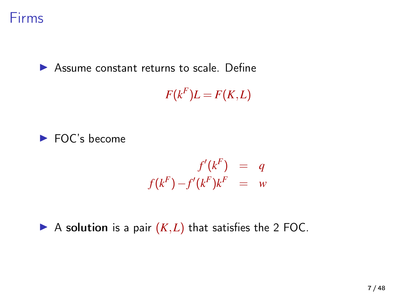

 $\triangleright$  Assume constant returns to scale. Define

 $F(k^F)L = F(K,L)$ 



$$
f'(k^F) = q
$$
  

$$
f(k^F) - f'(k^F)k^F = w
$$

A solution is a pair  $(K, L)$  that satisfies the 2 FOC.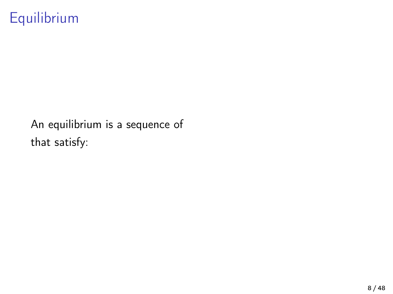# Equilibrium

An equilibrium is a sequence of that satisfy: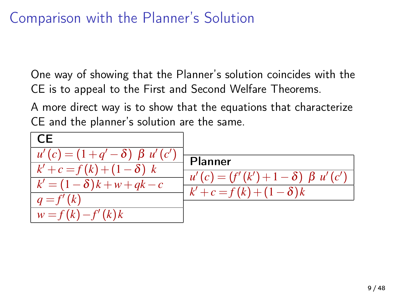# Comparison with the Planner's Solution

One way of showing that the Planner's solution coincides with the CE is to appeal to the First and Second Welfare Theorems.

A more direct way is to show that the equations that characterize CE and the planner's solution are the same.

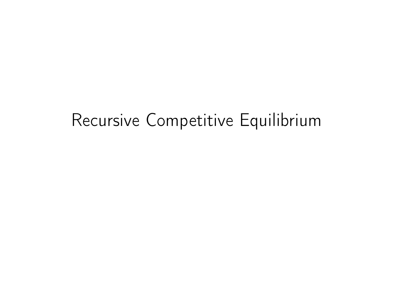# Recursive Competitive Equilibrium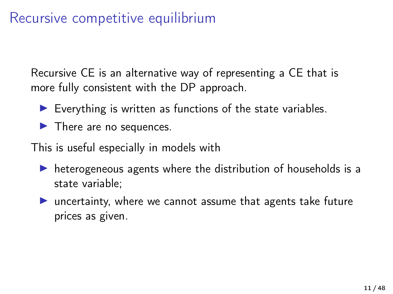# Recursive competitive equilibrium

Recursive CE is an alternative way of representing a CE that is more fully consistent with the DP approach.

- $\blacktriangleright$  Everything is written as functions of the state variables.
- $\blacktriangleright$  There are no sequences.

This is useful especially in models with

- $\triangleright$  heterogeneous agents where the distribution of households is a state variable;
- $\blacktriangleright$  uncertainty, where we cannot assume that agents take future prices as given.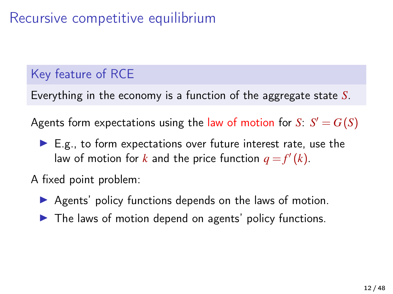# Recursive competitive equilibrium

#### Key feature of RCE

Everything in the economy is a function of the aggregate state *S*.

Agents form expectations using the law of motion for  $S: S' = G(S)$ 

 $\blacktriangleright$  E.g., to form expectations over future interest rate, use the law of motion for *k* and the price function  $q = f'(k)$ .

A fixed point problem:

- $\triangleright$  Agents' policy functions depends on the laws of motion.
- $\blacktriangleright$  The laws of motion depend on agents' policy functions.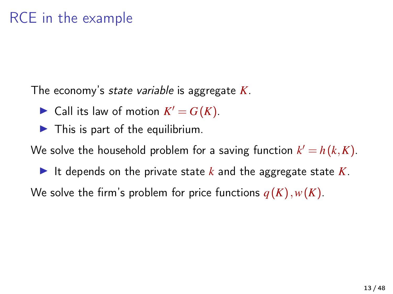The economy's state variable is aggregate *K*.

- $\blacktriangleright$  Call its law of motion  $K' = G(K)$ .
- $\blacktriangleright$  This is part of the equilibrium.

We solve the household problem for a saving function  $k' = h(k, K)$ .

It depends on the private state  $k$  and the aggregate state  $K$ .

We solve the firm's problem for price functions  $q(K)$ ,  $w(K)$ .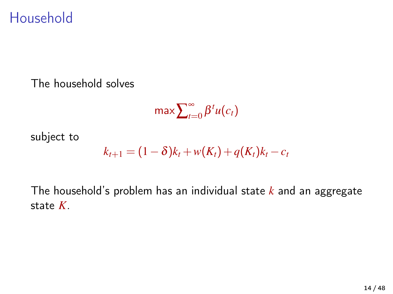### Household

The household solves

$$
\max \sum_{t=0}^{\infty} \beta^t u(c_t)
$$

subject to

$$
k_{t+1} = (1 - \delta)k_t + w(K_t) + q(K_t)k_t - c_t
$$

The household's problem has an individual state *k* and an aggregate state *K*.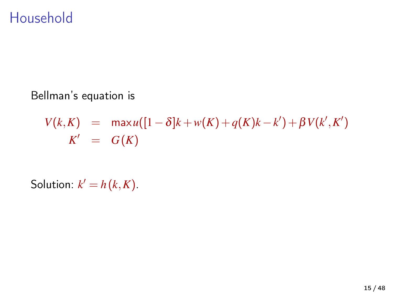### Household

Bellman's equation is

$$
V(k, K) = \max u([1 - \delta]k + w(K) + q(K)k - k') + \beta V(k', K')K' = G(K)
$$

Solution:  $k' = h(k,K)$ .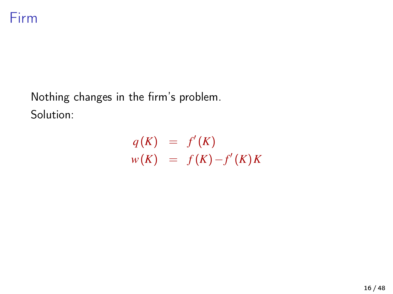

Nothing changes in the firm's problem. Solution:

$$
q(K) = f'(K)
$$
  

$$
w(K) = f(K) - f'(K)K
$$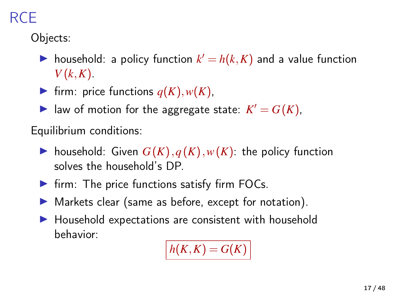# RCE

Objects:

- ighthousehold: a policy function  $k' = h(k, K)$  and a value function  $V(k,K)$ .
- If firm: price functions  $q(K), w(K)$ ,
- In law of motion for the aggregate state:  $K' = G(K)$ ,

Equilibrium conditions:

- ighthousehold: Given  $G(K)$ ,  $q(K)$ ,  $w(K)$ : the policy function solves the household's DP.
- $\blacktriangleright$  firm: The price functions satisfy firm FOCs.
- $\blacktriangleright$  Markets clear (same as before, except for notation).
- $\blacktriangleright$  Household expectations are consistent with household behavior:

$$
h(K,K)=G(K)
$$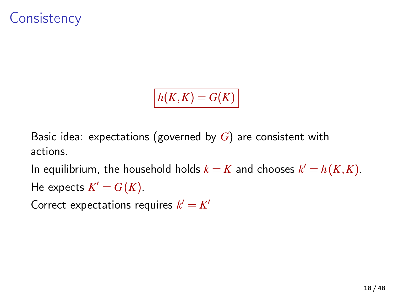## **Consistency**

 $h(K,K) = G(K)$ 

Basic idea: expectations (governed by *G*) are consistent with actions.

In equilibrium, the household holds  $k = K$  and chooses  $k' = h(K,K)$ . He expects  $K' = G(K)$ .

Correct expectations requires  $k' = K'$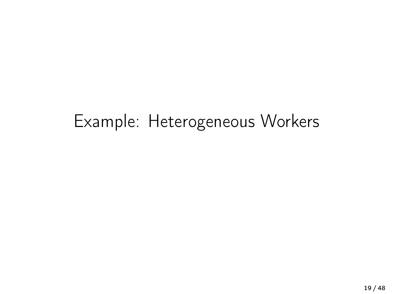# Example: Heterogeneous Workers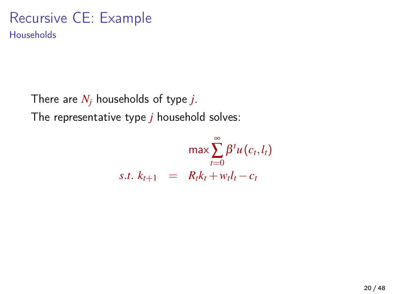#### Recursive CE: Example **Households**

There are *N<sup>j</sup>* households of type *j*. The representative type *j* household solves:

$$
\max \sum_{t=0}^{\infty} \beta^t u(c_t, l_t)
$$
  
s.t.  $k_{t+1} = R_t k_t + w_t l_t - c_t$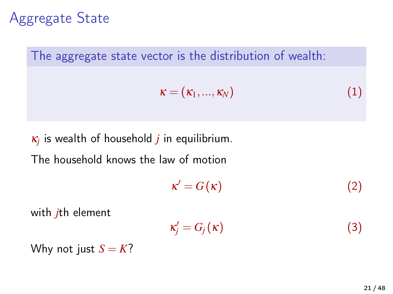Aggregate State



κ*j* is wealth of household *j* in equilibrium.

The household knows the law of motion

$$
\kappa' = G(\kappa) \tag{2}
$$

with *j*th element

$$
\kappa'_{j} = G_{j}(\kappa) \tag{3}
$$

Why not just  $S = K$ ?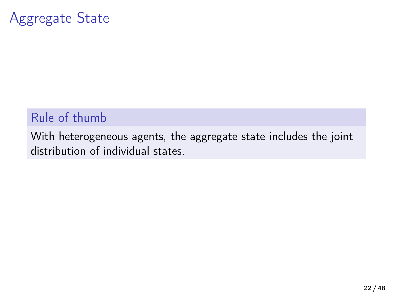## Aggregate State

#### Rule of thumb

With heterogeneous agents, the aggregate state includes the joint distribution of individual states.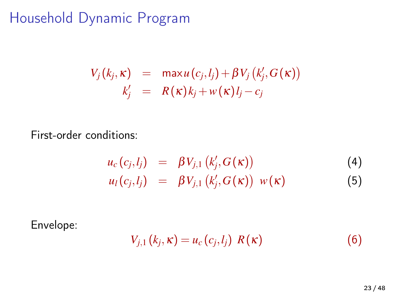# Household Dynamic Program

$$
V_j(k_j, \kappa) = \max u(c_j, l_j) + \beta V_j(k'_j, G(\kappa))
$$
  

$$
k'_j = R(\kappa)k_j + w(\kappa)l_j - c_j
$$

First-order conditions:

$$
u_c(c_j, l_j) = \beta V_{j,1} (k'_j, G(\kappa))
$$
  
\n
$$
u_l(c_j, l_j) = \beta V_{j,1} (k'_j, G(\kappa)) w(\kappa)
$$
\n(4)

Envelope:

$$
V_{j,1}(k_j,\kappa) = u_c(c_j,l_j) \, R(\kappa) \tag{6}
$$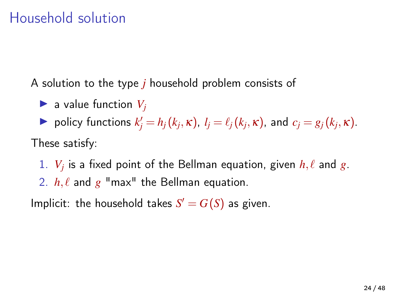# Household solution

A solution to the type *j* household problem consists of

 $\blacktriangleright$  a value function  $V_i$ 

 $\blacktriangleright$  policy functions  $k'_j = h_j(k_j, \kappa)$ ,  $l_j = \ell_j(k_j, \kappa)$ , and  $c_j = g_j(k_j, \kappa)$ . These satisfy:

1.  $V_j$  is a fixed point of the Bellman equation, given  $h, \ell$  and  $g.$ 2.  $h, \ell$  and  $g$  "max" the Bellman equation.

Implicit: the household takes  $S' = G(S)$  as given.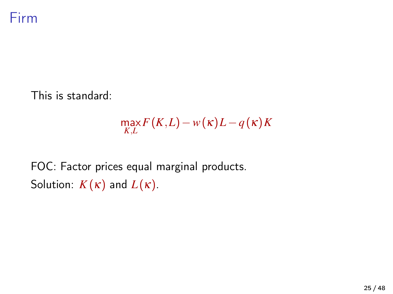

This is standard:

$$
\max_{K,L} F(K,L) - w(\kappa)L - q(\kappa)K
$$

FOC: Factor prices equal marginal products. Solution:  $K(\kappa)$  and  $L(\kappa)$ .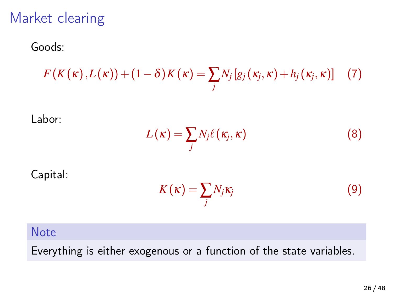## Market clearing

Goods:

$$
F(K(\kappa),L(\kappa)) + (1-\delta)K(\kappa) = \sum_j N_j [g_j(\kappa_j,\kappa) + h_j(\kappa_j,\kappa)] \quad (7)
$$

Labor:

$$
L(\kappa) = \sum_{j} N_j \ell(\kappa_j, \kappa) \tag{8}
$$

Capital:

$$
K(\kappa) = \sum_{j} N_j \kappa_j \tag{9}
$$

#### **Note**

Everything is either exogenous or a function of the state variables.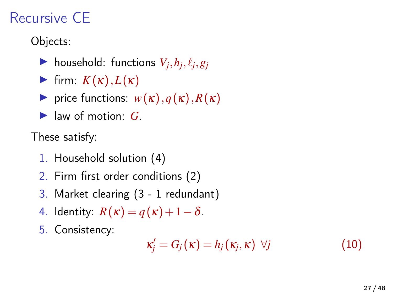# Recursive CE

Objects:

- $\blacktriangleright$  household: functions  $V_j, h_j, \ell_j, g_j$
- **Firm:**  $K(\kappa)$ ,  $L(\kappa)$
- **I** price functions:  $w(\kappa)$ ,  $q(\kappa)$ ,  $R(\kappa)$
- $\blacktriangleright$  law of motion:  $G$ .

These satisfy:

- 1. Household solution (4)
- 2. Firm first order conditions (2)
- 3. Market clearing (3 1 redundant)
- 4. Identity:  $R(\kappa) = q(\kappa) + 1 \delta$ .
- 5. Consistency:

$$
\kappa'_{j} = G_{j}(\kappa) = h_{j}(\kappa_{j}, \kappa) \ \forall j \tag{10}
$$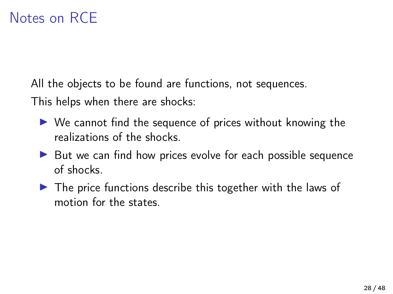All the objects to be found are functions, not sequences.

This helps when there are shocks:

- $\triangleright$  We cannot find the sequence of prices without knowing the realizations of the shocks.
- $\triangleright$  But we can find how prices evolve for each possible sequence of shocks.
- $\triangleright$  The price functions describe this together with the laws of motion for the states.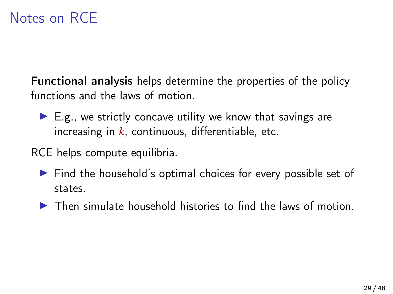## Notes on RCE

Functional analysis helps determine the properties of the policy functions and the laws of motion.

- $\blacktriangleright$  E.g., we strictly concave utility we know that savings are increasing in *k*, continuous, differentiable, etc.
- RCE helps compute equilibria.
	- $\triangleright$  Find the household's optimal choices for every possible set of states.
	- $\triangleright$  Then simulate household histories to find the laws of motion.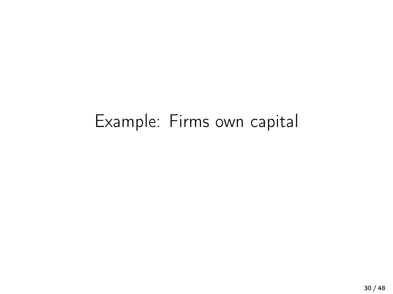# Example: Firms own capital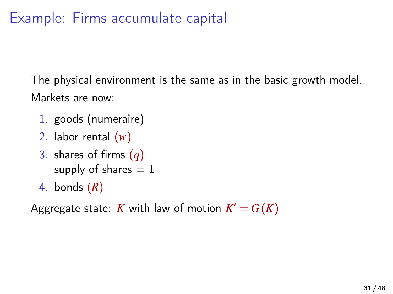# Example: Firms accumulate capital

The physical environment is the same as in the basic growth model. Markets are now:

- 1. goods (numeraire)
- 2. labor rental (*w*)
- 3. shares of firms (*q*) supply of shares  $= 1$
- 4. bonds (*R*)

Aggregate state: *K* with law of motion  $K' = G(K)$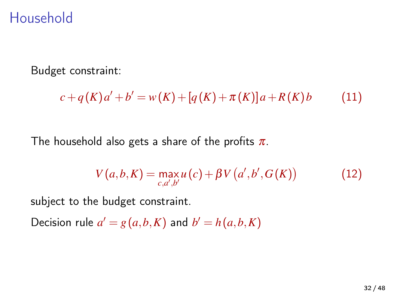## Household

Budget constraint:

$$
c + q(K)a' + b' = w(K) + [q(K) + \pi(K)]a + R(K)b \tag{11}
$$

The household also gets a share of the profits  $\pi$ .

$$
V(a,b,K) = \max_{c,a',b'} u(c) + \beta V(a',b',G(K))
$$
 (12)

subject to the budget constraint.

Decision rule  $a' = g(a,b,K)$  and  $b' = h(a,b,K)$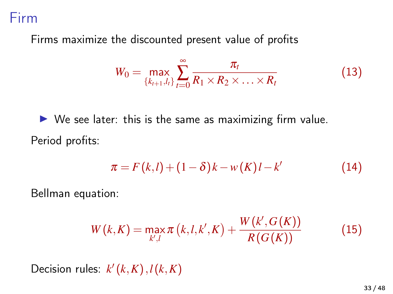#### Firm

Firms maximize the discounted present value of profits

$$
W_0 = \max_{\{k_{t+1}, l_t\}} \sum_{t=0}^{\infty} \frac{\pi_t}{R_1 \times R_2 \times \ldots \times R_t}
$$
(13)

 $\triangleright$  We see later: this is the same as maximizing firm value. Period profits:

$$
\pi = F(k, l) + (1 - \delta)k - w(K)l - k'
$$
 (14)

Bellman equation:

$$
W(k,K) = \max_{k',l} \pi(k,l,k',K) + \frac{W(k',G(K))}{R(G(K))}
$$
(15)

Decision rules:  $k'(k,K), l(k,K)$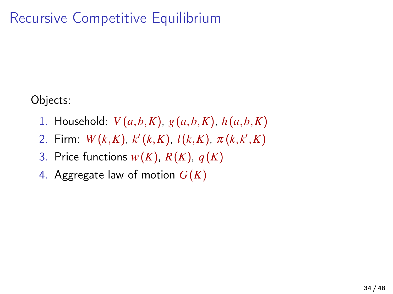# Recursive Competitive Equilibrium

Objects:

- 1. Household: *V* (*a*,*b*,*K*), *g*(*a*,*b*,*K*), *h*(*a*,*b*,*K*)
- 2. Firm:  $W(k,K)$ ,  $k'(k,K)$ ,  $l(k,K)$ ,  $\pi(k,k',K)$
- 3. Price functions  $w(K)$ ,  $R(K)$ ,  $q(K)$
- 4. Aggregate law of motion *G*(*K*)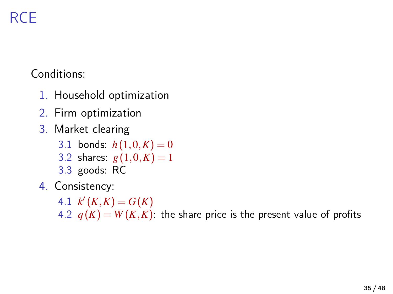# RCE

Conditions:

- 1. Household optimization
- 2. Firm optimization
- 3. Market clearing
	- 3.1 bonds:  $h(1,0,K) = 0$
	- 3.2 shares:  $g(1,0,K) = 1$
	- 3.3 goods: RC
- 4. Consistency:

4.1  $k'(K,K) = G(K)$ 

4.2  $q(K) = W(K,K)$ : the share price is the present value of profits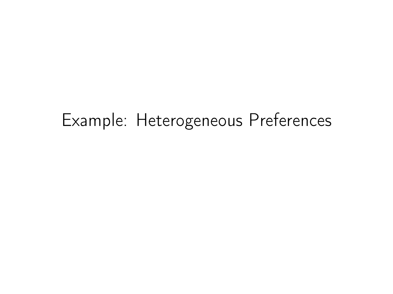# Example: Heterogeneous Preferences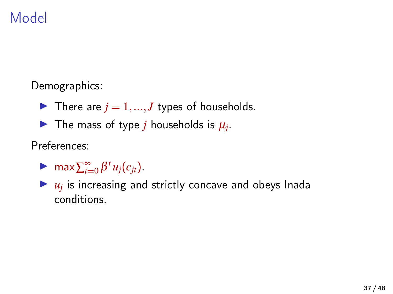# Model

Demographics:

- $\blacktriangleright$  There are  $j = 1, ..., J$  types of households.
- The mass of type *j* households is  $\mu_j$ .

Preferences:

 $\blacktriangleright$  max  $\sum_{t=0}^{\infty} \beta^t u_j(c_{jt}).$ 

 $\blacktriangleright$   $u_j$  is increasing and strictly concave and obeys Inada conditions.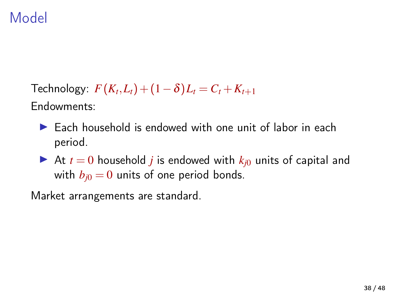# Model

 $\text{Technology: } F(K_t, L_t) + (1 - \delta) L_t = C_t + K_{t+1}$ Endowments:

- $\blacktriangleright$  Each household is endowed with one unit of labor in each period.
- At  $t = 0$  household *j* is endowed with  $k_{i0}$  units of capital and with  $b_{j0} = 0$  units of one period bonds.

Market arrangements are standard.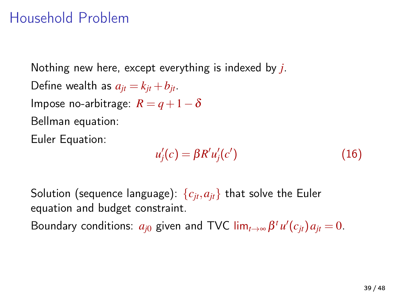### Household Problem

Nothing new here, except everything is indexed by *j*. Define wealth as  $a_{it} = k_{jt} + b_{jt}$ . Impose no-arbitrage:  $R = q + 1 - \delta$ Bellman equation: Euler Equation:

$$
u'_{j}(c) = \beta R' u'_{j}(c')
$$
 (16)

Solution (sequence language):  ${c_{it}, a_{it}}$  that solve the Euler equation and budget constraint.

Boundary conditions:  $a_{j0}$  given and TVC lim<sub>*t*→∞</sub>  $\beta^t u'(c_{jt}) a_{jt} = 0$ .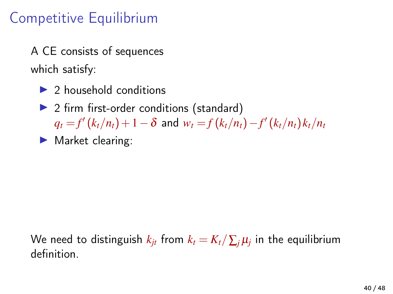# Competitive Equilibrium

A CE consists of sequences which satisfy:

- $\triangleright$  2 household conditions
- $\triangleright$  2 firm first-order conditions (standard)  $q_t = f'(k_t/n_t) + 1 - \delta$  and  $w_t = f(k_t/n_t) - f'(k_t/n_t) k_t/n_t$
- $\blacktriangleright$  Market clearing:

We need to distinguish  $k_{jt}$  from  $k_t = K_t / \sum_j \mu_j$  in the equilibrium definition.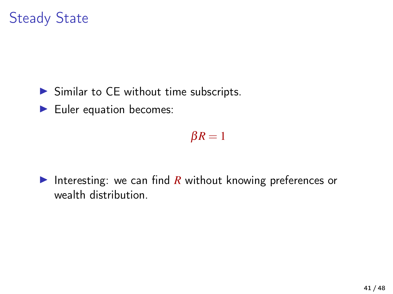# Steady State

- $\triangleright$  Similar to CE without time subscripts.
- $\blacktriangleright$  Euler equation becomes:

 $\beta R = 1$ 

Interesting: we can find  $R$  without knowing preferences or wealth distribution.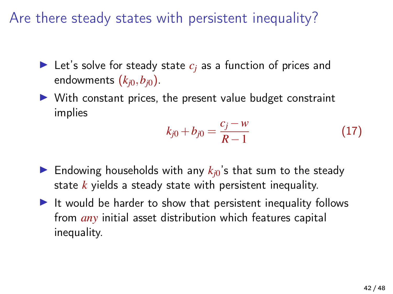Are there steady states with persistent inequality?

- Exet's solve for steady state  $c_i$  as a function of prices and endowments  $(k_{i0}, b_{i0})$ .
- $\triangleright$  With constant prices, the present value budget constraint implies

$$
k_{j0} + b_{j0} = \frac{c_j - w}{R - 1} \tag{17}
$$

- $\triangleright$  Endowing households with any  $k_{i0}$ 's that sum to the steady state *k* yields a steady state with persistent inequality.
- It would be harder to show that persistent inequality follows from *any* initial asset distribution which features capital inequality.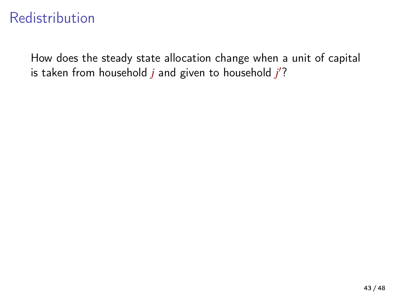# Redistribution

How does the steady state allocation change when a unit of capital is taken from household *j* and given to household *j*'?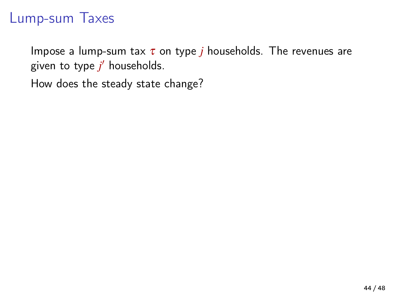## Lump-sum Taxes

Impose a lump-sum tax  $\tau$  on type *j* households. The revenues are given to type *j* <sup>0</sup> households.

How does the steady state change?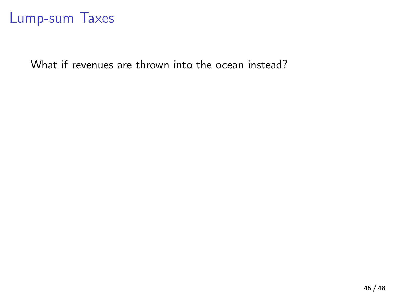#### Lump-sum Taxes

What if revenues are thrown into the ocean instead?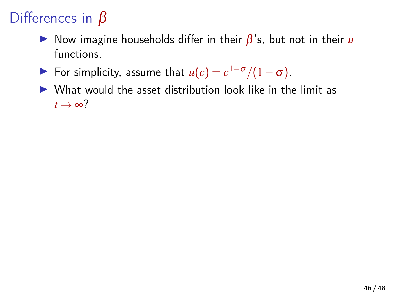# Differences in  $\beta$

- $\triangleright$  Now imagine households differ in their  $\beta$ 's, but not in their *u* functions.
- **I** For simplicity, assume that  $u(c) = c^{1-\sigma}/(1-\sigma)$ .
- $\triangleright$  What would the asset distribution look like in the limit as  $t \rightarrow \infty$ ?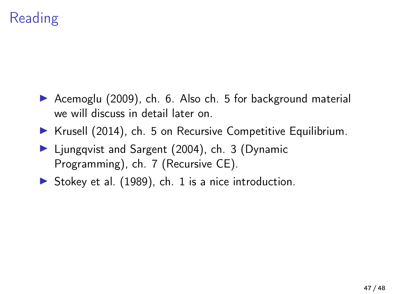# Reading

- ▶ [Acemoglu \(2009\)](#page-47-0), ch. 6. Also ch. 5 for background material we will discuss in detail later on.
- $\triangleright$  [Krusell \(2014\)](#page-47-1), ch. 5 on Recursive Competitive Equilibrium.
- ▶ [Ljungqvist and Sargent \(2004\)](#page-47-2), ch. 3 (Dynamic Programming), ch. 7 (Recursive CE).
- Stokey et al.  $(1989)$ , ch. 1 is a nice introduction.